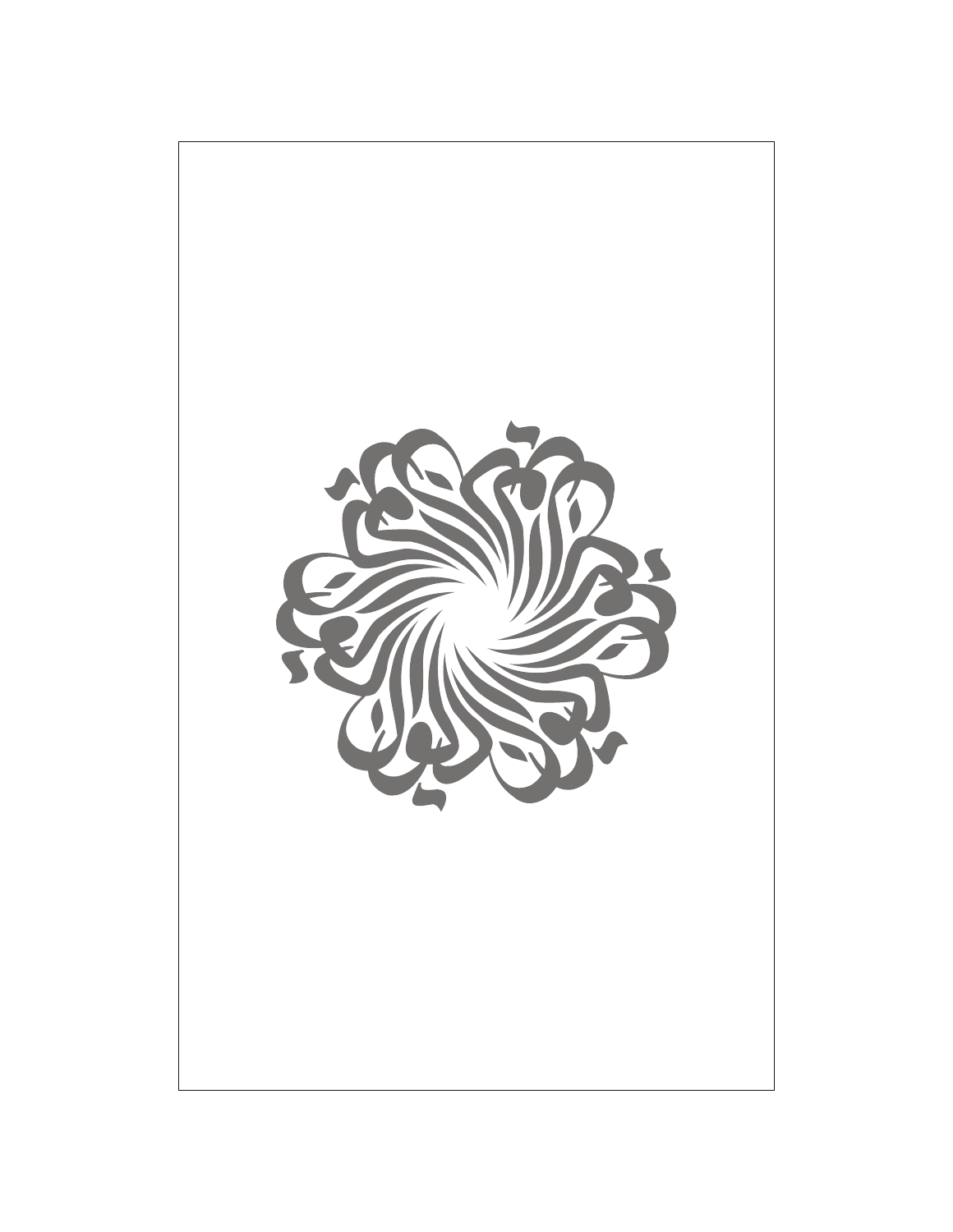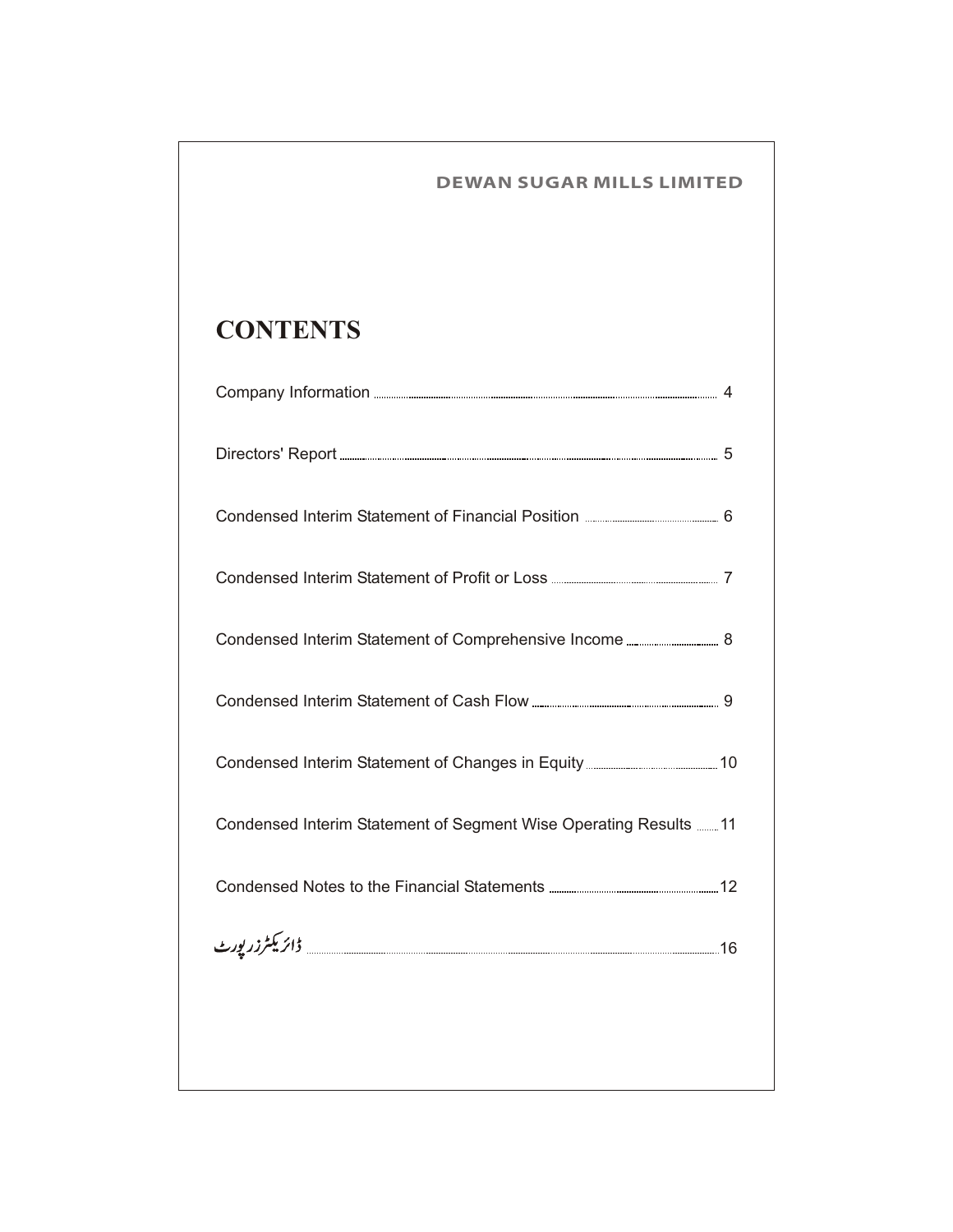# **CONTENTS**

| Condensed Interim Statement of Segment Wise Operating Results 11 |  |
|------------------------------------------------------------------|--|
|                                                                  |  |
|                                                                  |  |
|                                                                  |  |
|                                                                  |  |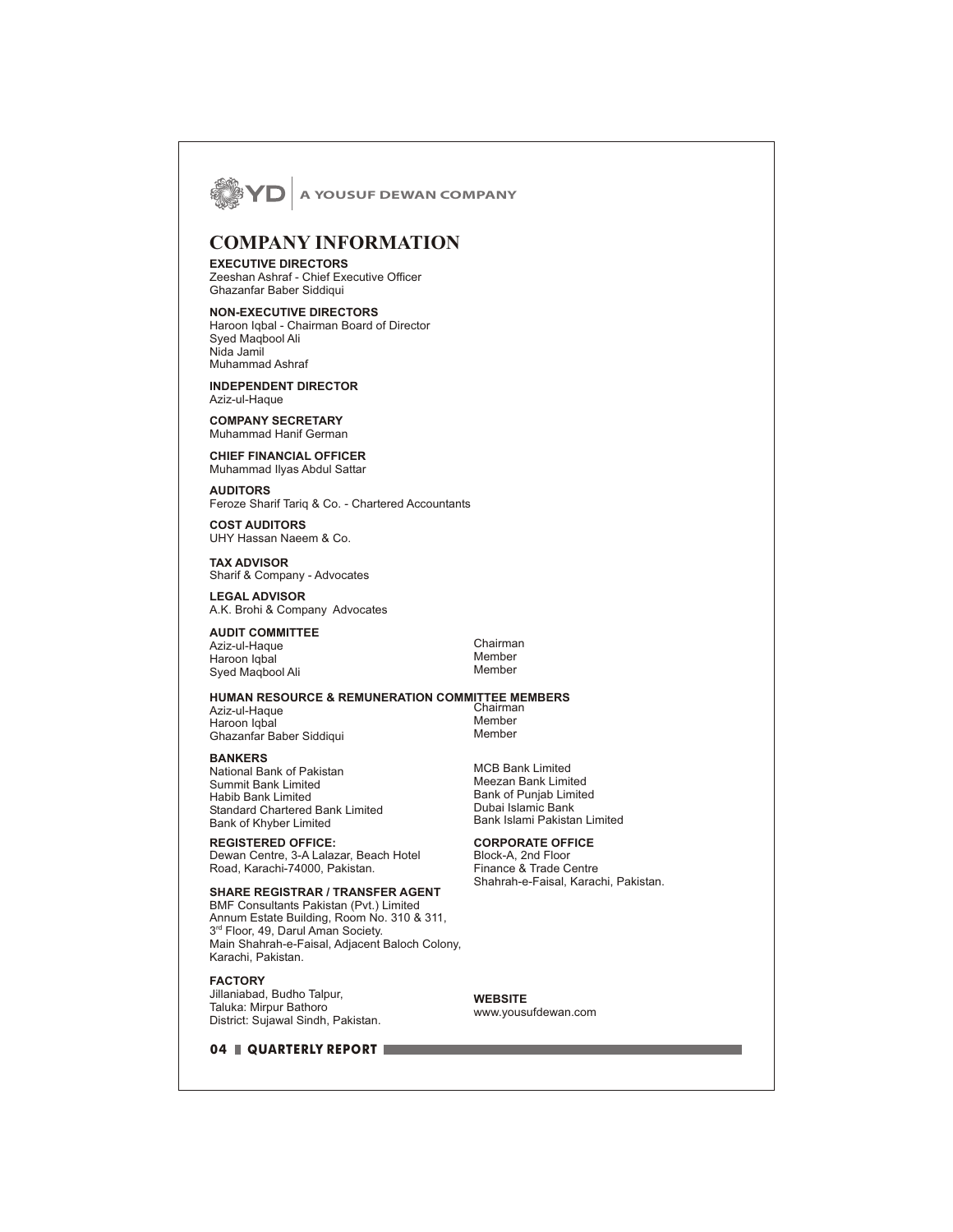$\mathbf{Y} \mathbf{D}$  a yousuf dewan company

# **COMPANY INFORMATION**

### **EXECUTIVE DIRECTORS**

Zeeshan Ashraf - Chief Executive Officer Ghazanfar Baber Siddiqui

#### **NON-EXECUTIVE DIRECTORS**

Haroon Iqbal - Chairman Board of Director Syed Maqbool Ali Nida Jamil Muhammad Ashraf

**INDEPENDENT DIRECTOR** Aziz-ul-Haque

**COMPANY SECRETARY** Muhammad Hanif German

**CHIEF FINANCIAL OFFICER** Muhammad Ilyas Abdul Sattar

**AUDITORS** Feroze Sharif Tariq & Co. - Chartered Accountants

**COST AUDITORS** UHY Hassan Naeem & Co.

**TAX ADVISOR** Sharif & Company - Advocates

**LEGAL ADVISOR** A.K. Brohi & Company Advocates

**AUDIT COMMITTEE** Aziz-ul-Haque Haroon Iqbal Syed Maqbool Ali

**BANKERS**

Chairman Member Member

#### **HUMAN RESOURCE & REMUNERATION COMMITTEE MEMBERS**

Aziz-ul-Haque Haroon Iqbal Ghazanfar Baber Siddiqui

National Bank of Pakistan Summit Bank Limited Habib Bank Limited

**REGISTERED OFFICE:**

Standard Chartered Bank Limited Bank of Khyber Limited

Dewan Centre, 3-A Lalazar, Beach Hotel Road, Karachi-74000, Pakistan.

Chairman Member Member

MCB Bank Limited Meezan Bank Limited Bank of Punjab Limited Dubai Islamic Bank Bank Islami Pakistan Limited

**CORPORATE OFFICE** Block-A, 2nd Floor Finance & Trade Centre Shahrah-e-Faisal, Karachi, Pakistan.

**SHARE REGISTRAR / TRANSFER AGENT** BMF Consultants Pakistan (Pvt.) Limited Annum Estate Building, Room No. 310 & 311, 3<sup>rd</sup> Floor, 49, Darul Aman Society. Main Shahrah-e-Faisal, Adjacent Baloch Colony, Karachi, Pakistan.

**FACTORY** Jillaniabad, Budho Talpur, Taluka: Mirpur Bathoro District: Sujawal Sindh, Pakistan.

**WEBSITE** www.yousufdewan.com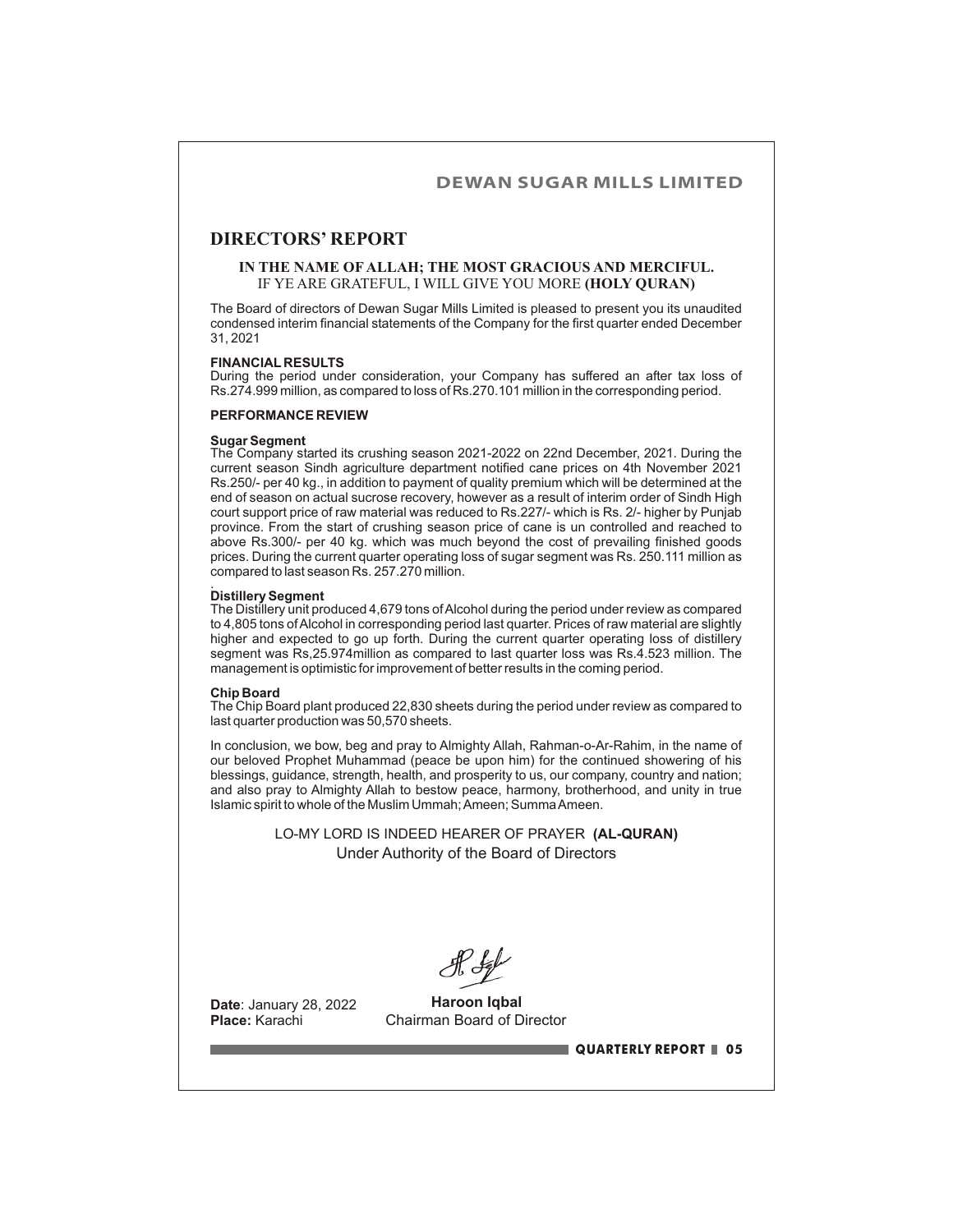## **DIRECTORS' REPORT**

### **IN THE NAME OF ALLAH; THE MOST GRACIOUS AND MERCIFUL.** IF YE ARE GRATEFUL, I WILL GIVE YOU MORE **(HOLY QURAN)**

The Board of directors of Dewan Sugar Mills Limited is pleased to present you its unaudited condensed interim financial statements of the Company for the first quarter ended December 31, 2021

#### **FINANCIAL RESULTS**

During the period under consideration, your Company has suffered an after tax loss of Rs.274.999 million, as compared to loss of Rs.270.101 million in the corresponding period.

### **PERFORMANCE REVIEW**

#### **Sugar Segment**

The Company started its crushing season 2021-2022 on 22nd December, 2021. During the current season Sindh agriculture department notified cane prices on 4th November 2021 Rs.250/- per 40 kg., in addition to payment of quality premium which will be determined at the end of season on actual sucrose recovery, however as a result of interim order of Sindh High court support price of raw material was reduced to Rs.227/- which is Rs. 2/- higher by Punjab province. From the start of crushing season price of cane is un controlled and reached to above Rs.300/- per 40 kg. which was much beyond the cost of prevailing finished goods prices. During the current quarter operating loss of sugar segment was Rs. 250.111 million as compared to last season Rs. 257.270 million.

#### . **Distillery Segment**

The Distillery unit produced 4,679 tons of Alcohol during the period under review as compared to 4,805 tons of Alcohol in corresponding period last quarter. Prices of raw material are slightly higher and expected to go up forth. During the current quarter operating loss of distillery segment was Rs,25.974million as compared to last quarter loss was Rs.4.523 million. The management is optimistic for improvement of better results in the coming period.

### **Chip Board**

The Chip Board plant produced 22,830 sheets during the period under review as compared to last quarter production was 50,570 sheets.

In conclusion, we bow, beg and pray to Almighty Allah, Rahman-o-Ar-Rahim, in the name of our beloved Prophet Muhammad (peace be upon him) for the continued showering of his blessings, guidance, strength, health, and prosperity to us, our company, country and nation; and also pray to Almighty Allah to bestow peace, harmony, brotherhood, and unity in true Islamic spirit to whole of the Muslim Ummah; Ameen; Summa Ameen.

> LO-MY LORD IS INDEED HEARER OF PRAYER **(AL-QURAN)** Under Authority of the Board of Directors

**Date**: January 28, 2022 **Place:** Karachi

**Haroon Iqbal** Chairman Board of Director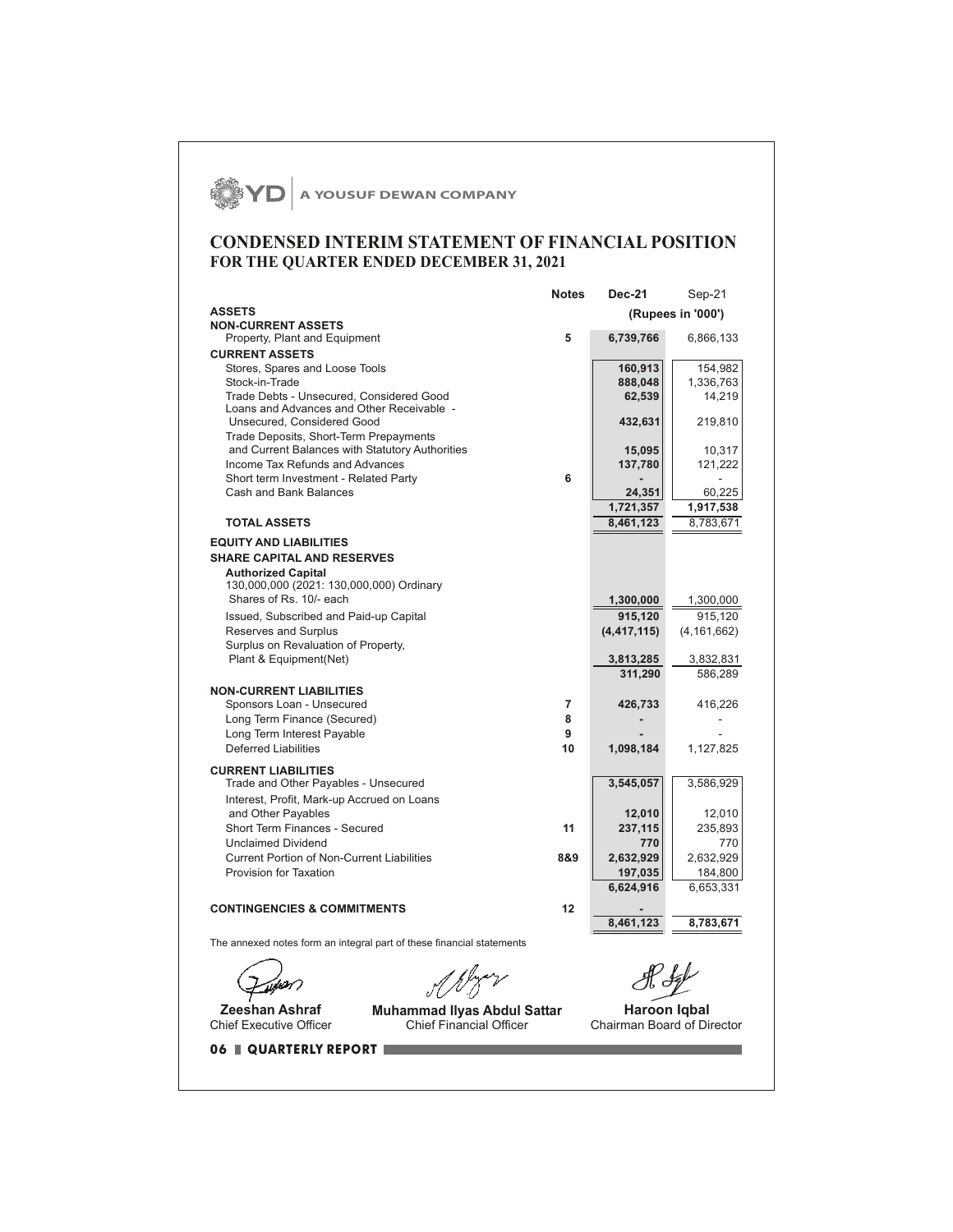**A** YOUSUF DEWAN COMPANY

# **CONDENSED INTERIM STATEMENT OF FINANCIAL POSITION FOR THE QUARTER ENDED DECEMBER 31, 2021**

|                                                                       | <b>Notes</b>   | <b>Dec-21</b>       | Sep-21               |
|-----------------------------------------------------------------------|----------------|---------------------|----------------------|
| <b>ASSETS</b>                                                         |                |                     | (Rupees in '000')    |
| <b>NON-CURRENT ASSETS</b>                                             |                |                     |                      |
| Property, Plant and Equipment                                         | 5              | 6,739,766           | 6,866,133            |
| <b>CURRENT ASSETS</b>                                                 |                |                     |                      |
| Stores, Spares and Loose Tools<br>Stock-in-Trade                      |                | 160,913<br>888,048  | 154,982<br>1,336,763 |
| Trade Debts - Unsecured, Considered Good                              |                | 62,539              | 14,219               |
| Loans and Advances and Other Receivable -                             |                |                     |                      |
| Unsecured, Considered Good                                            |                | 432,631             | 219,810              |
| Trade Deposits, Short-Term Prepayments                                |                |                     |                      |
| and Current Balances with Statutory Authorities                       |                | 15,095              | 10,317               |
| Income Tax Refunds and Advances                                       |                | 137,780             | 121,222              |
| Short term Investment - Related Party                                 | 6              |                     |                      |
| Cash and Bank Balances                                                |                | 24,351<br>1,721,357 | 60,225               |
|                                                                       |                |                     | 1,917,538            |
| <b>TOTAL ASSETS</b>                                                   |                | 8,461,123           | 8,783,671            |
| <b>EQUITY AND LIABILITIES</b>                                         |                |                     |                      |
| <b>SHARE CAPITAL AND RESERVES</b>                                     |                |                     |                      |
| <b>Authorized Capital</b><br>130,000,000 (2021: 130,000,000) Ordinary |                |                     |                      |
| Shares of Rs. 10/- each                                               |                | 1,300,000           | 1,300,000            |
| Issued, Subscribed and Paid-up Capital                                |                | 915.120             | 915,120              |
| <b>Reserves and Surplus</b>                                           |                | (4, 417, 115)       | (4, 161, 662)        |
| Surplus on Revaluation of Property,                                   |                |                     |                      |
| Plant & Equipment(Net)                                                |                | 3,813,285           | 3,832,831            |
|                                                                       |                | 311,290             | 586,289              |
| <b>NON-CURRENT LIABILITIES</b>                                        |                |                     |                      |
| Sponsors Loan - Unsecured                                             | $\overline{7}$ | 426,733             | 416,226              |
| Long Term Finance (Secured)                                           | 8              |                     |                      |
| Long Term Interest Payable                                            | 9              |                     |                      |
| Deferred Liabilities                                                  | 10             | 1,098,184           | 1,127,825            |
| <b>CURRENT LIABILITIES</b>                                            |                |                     |                      |
| Trade and Other Payables - Unsecured                                  |                | 3,545,057           | 3,586,929            |
| Interest, Profit, Mark-up Accrued on Loans                            |                |                     |                      |
| and Other Payables                                                    |                | 12,010              | 12,010               |
| Short Term Finances - Secured                                         | 11             | 237,115             | 235,893              |
| <b>Unclaimed Dividend</b>                                             |                | 770                 | 770                  |
| <b>Current Portion of Non-Current Liabilities</b>                     | 8&9            | 2,632,929           | 2,632,929            |
| Provision for Taxation                                                |                | 197,035             | 184,800              |
|                                                                       |                | 6,624,916           | 6,653,331            |
| <b>CONTINGENCIES &amp; COMMITMENTS</b>                                | 12             |                     |                      |
|                                                                       |                | 8,461,123           | 8,783,671            |
| The annexed notes form an integral part of these financial statements |                |                     |                      |
|                                                                       |                |                     |                      |

Albyer

Chief Executive Officer Chief Financial Officer

**Muhammad Ilyas Abdul Sattar**

**Zeeshan Ashraf**

**Haroon Iqbal** Chairman Board of Director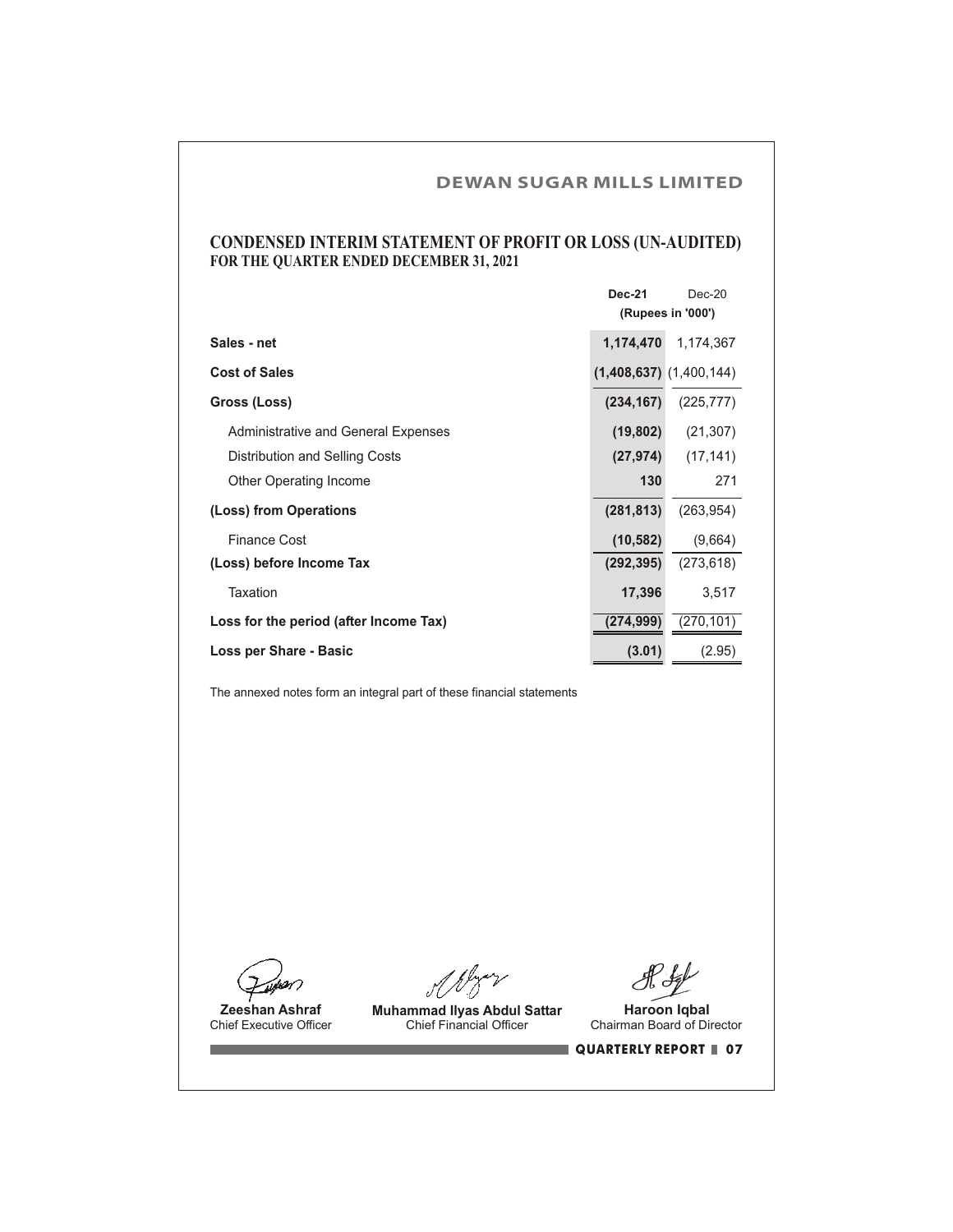# **CONDENSED INTERIM STATEMENT OF PROFIT OR LOSS (UN-AUDITED) FOR THE QUARTER ENDED DECEMBER 31, 2021**

|                                        | <b>Dec-21</b>     | $Dec-20$                    |
|----------------------------------------|-------------------|-----------------------------|
|                                        | (Rupees in '000') |                             |
| Sales - net                            | 1,174,470         | 1,174,367                   |
| <b>Cost of Sales</b>                   |                   | $(1,408,637)$ $(1,400,144)$ |
| Gross (Loss)                           | (234, 167)        | (225, 777)                  |
| Administrative and General Expenses    | (19, 802)         | (21, 307)                   |
| Distribution and Selling Costs         | (27, 974)         | (17, 141)                   |
| Other Operating Income                 | 130               | 271                         |
| (Loss) from Operations                 | (281, 813)        | (263, 954)                  |
| <b>Finance Cost</b>                    | (10, 582)         | (9,664)                     |
| (Loss) before Income Tax               | (292, 395)        | (273, 618)                  |
| Taxation                               | 17,396            | 3,517                       |
| Loss for the period (after Income Tax) | (274, 999)        | (270, 101)                  |
| Loss per Share - Basic                 | (3.01)            | (2.95)                      |

The annexed notes form an integral part of these financial statements

Chief Executive Officer Chief Financial Officer **Zeeshan Ashraf**

 $\mathscr{H}_{\mathscr{S}}$ Il **Muhammad Ilyas Abdul Sattar**

**Haroon Iqbal** Chairman Board of Director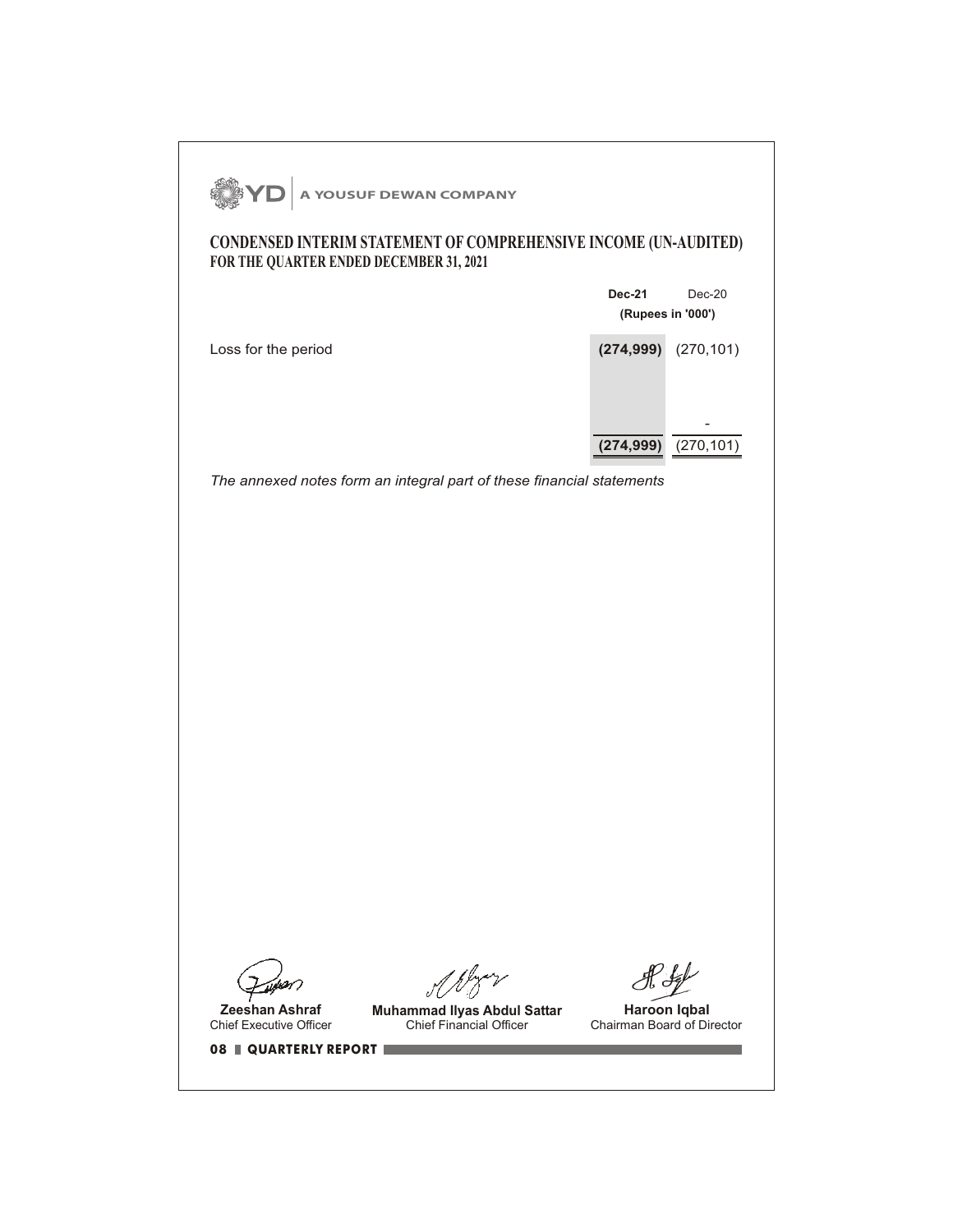|                     |                                                                       | Dec-21     | $Dec-20$<br>(Rupees in '000') |
|---------------------|-----------------------------------------------------------------------|------------|-------------------------------|
| Loss for the period |                                                                       |            | $(274,999)$ $(270,101)$       |
|                     |                                                                       | (274, 999) | (270, 101)                    |
|                     | The annexed notes form an integral part of these financial statements |            |                               |
|                     |                                                                       |            |                               |
|                     |                                                                       |            |                               |
|                     |                                                                       |            |                               |
|                     |                                                                       |            |                               |
|                     |                                                                       |            |                               |
|                     |                                                                       |            |                               |
|                     |                                                                       |            |                               |
|                     |                                                                       |            |                               |
|                     |                                                                       |            |                               |
|                     |                                                                       |            |                               |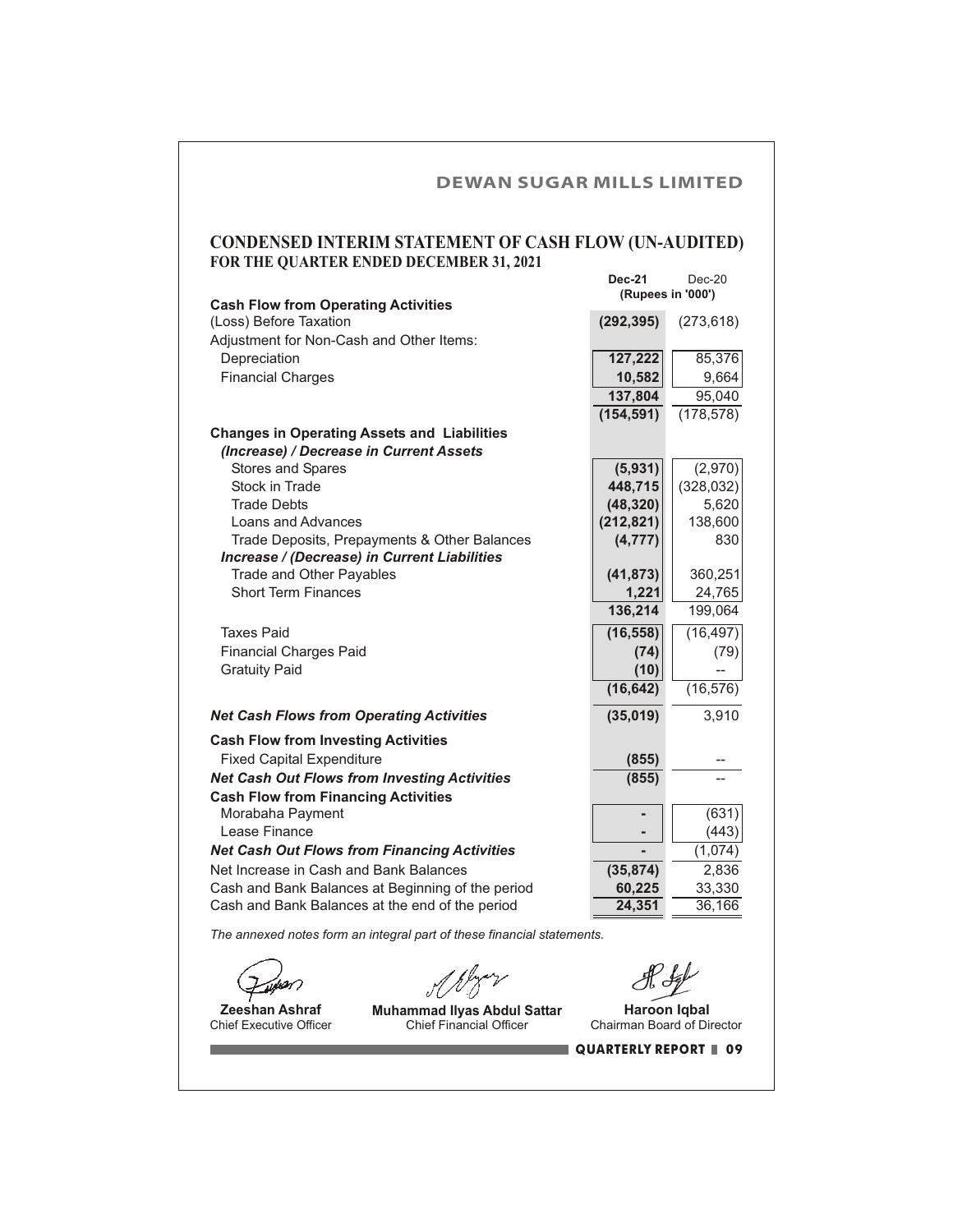| <b>DEWAN SUGAR MILLS LIMITED</b>                                                                        |               |                               |  |
|---------------------------------------------------------------------------------------------------------|---------------|-------------------------------|--|
| <b>CONDENSED INTERIM STATEMENT OF CASH FLOW (UN-AUDITED)</b><br>FOR THE QUARTER ENDED DECEMBER 31, 2021 |               |                               |  |
|                                                                                                         | <b>Dec-21</b> | $Dec-20$<br>(Rupees in '000') |  |
| <b>Cash Flow from Operating Activities</b><br>(Loss) Before Taxation                                    | (292, 395)    | (273, 618)                    |  |
| Adjustment for Non-Cash and Other Items:                                                                |               |                               |  |
| Depreciation                                                                                            | 127,222       | 85,376                        |  |
| <b>Financial Charges</b>                                                                                | 10,582        | 9,664                         |  |
|                                                                                                         | 137,804       | 95,040                        |  |
|                                                                                                         | (154, 591)    | (178, 578)                    |  |
| <b>Changes in Operating Assets and Liabilities</b><br>(Increase) / Decrease in Current Assets           |               |                               |  |
| <b>Stores and Spares</b>                                                                                | (5,931)       | (2,970)                       |  |
| Stock in Trade                                                                                          | 448,715       | (328, 032)                    |  |
| <b>Trade Debts</b>                                                                                      | (48, 320)     | 5,620                         |  |
| Loans and Advances                                                                                      | (212, 821)    | 138,600                       |  |
| Trade Deposits, Prepayments & Other Balances<br>Increase / (Decrease) in Current Liabilities            | (4, 777)      | 830                           |  |
| Trade and Other Payables                                                                                | (41, 873)     | 360,251                       |  |
| <b>Short Term Finances</b>                                                                              | 1,221         | 24,765                        |  |
|                                                                                                         | 136,214       | 199,064                       |  |
| <b>Taxes Paid</b>                                                                                       | (16, 558)     | (16, 497)                     |  |
| <b>Financial Charges Paid</b>                                                                           | (74)          | (79)                          |  |
| <b>Gratuity Paid</b>                                                                                    | (10)          |                               |  |
|                                                                                                         | (16, 642)     | (16, 576)                     |  |
| <b>Net Cash Flows from Operating Activities</b>                                                         | (35,019)      | 3,910                         |  |
| <b>Cash Flow from Investing Activities</b>                                                              |               |                               |  |
| <b>Fixed Capital Expenditure</b>                                                                        | (855)         |                               |  |
| <b>Net Cash Out Flows from Investing Activities</b>                                                     | (855)         |                               |  |
| <b>Cash Flow from Financing Activities</b>                                                              |               |                               |  |
| Morabaha Payment                                                                                        |               | (631)                         |  |
| Lease Finance                                                                                           |               | (443)                         |  |
| <b>Net Cash Out Flows from Financing Activities</b>                                                     |               | (1,074)                       |  |
| Net Increase in Cash and Bank Balances                                                                  | (35, 874)     | 2,836                         |  |
| Cash and Bank Balances at Beginning of the period                                                       | 60,225        | 33,330                        |  |
| Cash and Bank Balances at the end of the period                                                         | 24,351        | 36,166                        |  |
| The annexed notes form an integral part of these financial statements.                                  |               |                               |  |

Wenn

**Zeeshan Ashraf**

**Muhammad Ilyas Abdul Sattar** Chief Executive Officer Chief Financial Officer

**Haroon Iqbal** Chairman Board of Director

**QUARTERLY REPORT 09**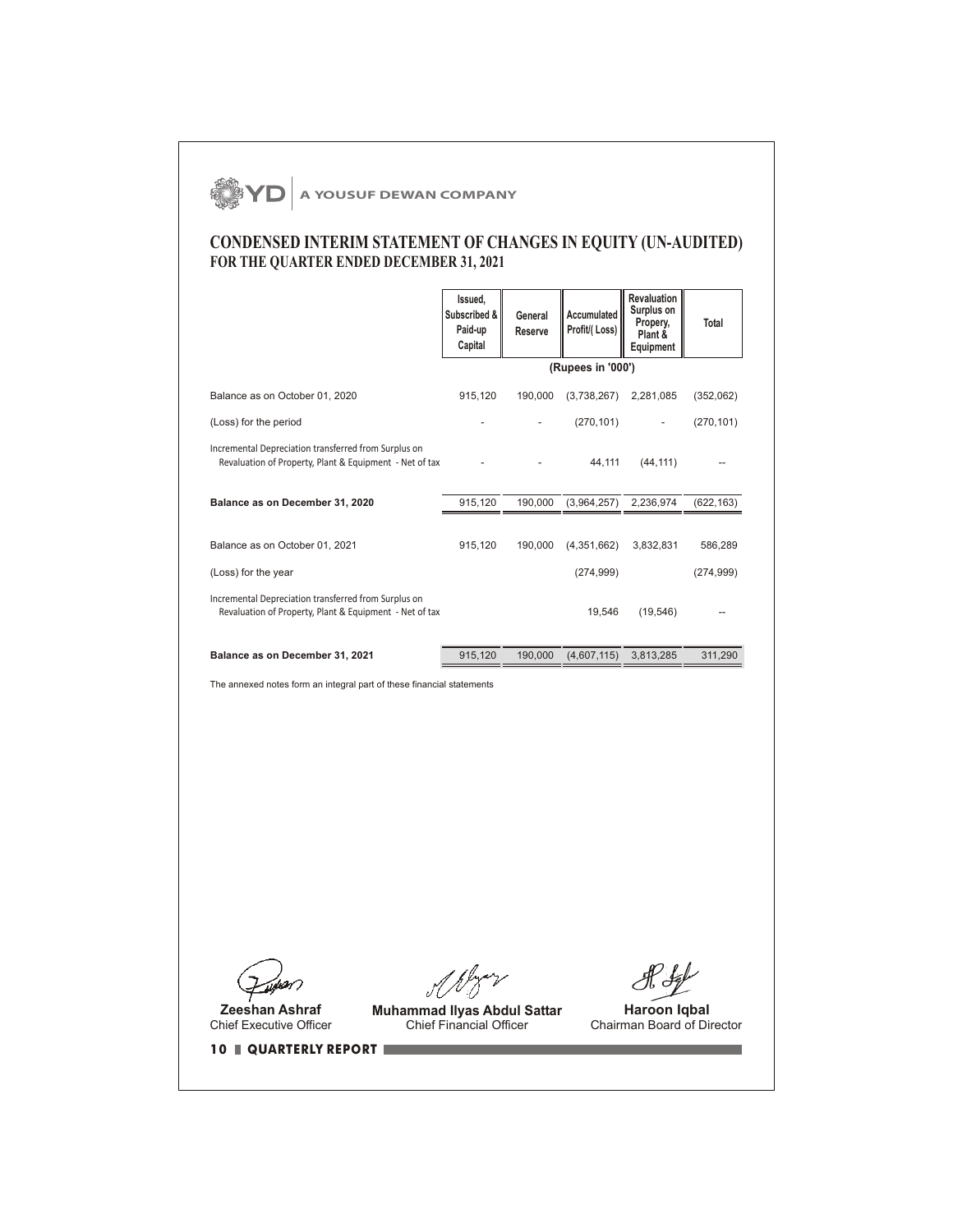# **A** YOUSUF DEWAN COMPANY

# **CONDENSED INTERIM STATEMENT OF CHANGES IN EQUITY (UN-AUDITED) FOR THE QUARTER ENDED DECEMBER 31, 2021**

|                                                                                                                 | Issued,<br>Subscribed &<br>Paid-up<br>Capital | General<br>Reserve | Accumulated<br>Profit/(Loss) | Revaluation  <br>Surplus on<br>Propery,<br>Plant &<br>Equipment | Total                 |  |
|-----------------------------------------------------------------------------------------------------------------|-----------------------------------------------|--------------------|------------------------------|-----------------------------------------------------------------|-----------------------|--|
|                                                                                                                 |                                               |                    | (Rupees in '000')            |                                                                 |                       |  |
| Balance as on October 01, 2020                                                                                  | 915.120                                       | 190,000            | (3,738,267)                  | 2,281,085                                                       | (352,062)             |  |
| (Loss) for the period                                                                                           |                                               |                    | (270, 101)                   |                                                                 | (270, 101)            |  |
| Incremental Depreciation transferred from Surplus on<br>Revaluation of Property, Plant & Equipment - Net of tax |                                               |                    | 44,111                       | (44, 111)                                                       |                       |  |
| Balance as on December 31, 2020                                                                                 | 915,120                                       | 190,000            | (3,964,257)                  | 2,236,974                                                       | (622, 163)            |  |
| Balance as on October 01, 2021<br>(Loss) for the year                                                           | 915,120                                       | 190,000            | (4,351,662)<br>(274, 999)    | 3,832,831                                                       | 586,289<br>(274, 999) |  |
| Incremental Depreciation transferred from Surplus on<br>Revaluation of Property, Plant & Equipment - Net of tax |                                               |                    | 19.546                       | (19, 546)                                                       |                       |  |
| Balance as on December 31, 2021                                                                                 | 915,120                                       | 190,000            | (4,607,115)                  | 3,813,285                                                       | 311,290               |  |

The annexed notes form an integral part of these financial statements

1 flyar Ĭί

**Haroon Iqbal** Chairman Board of Director

**Zeeshan Ashraf**

**10 QUARTERLY REPORT**

**Muhammad Ilyas Abdul Sattar** Chief Executive Officer Chief Financial Officer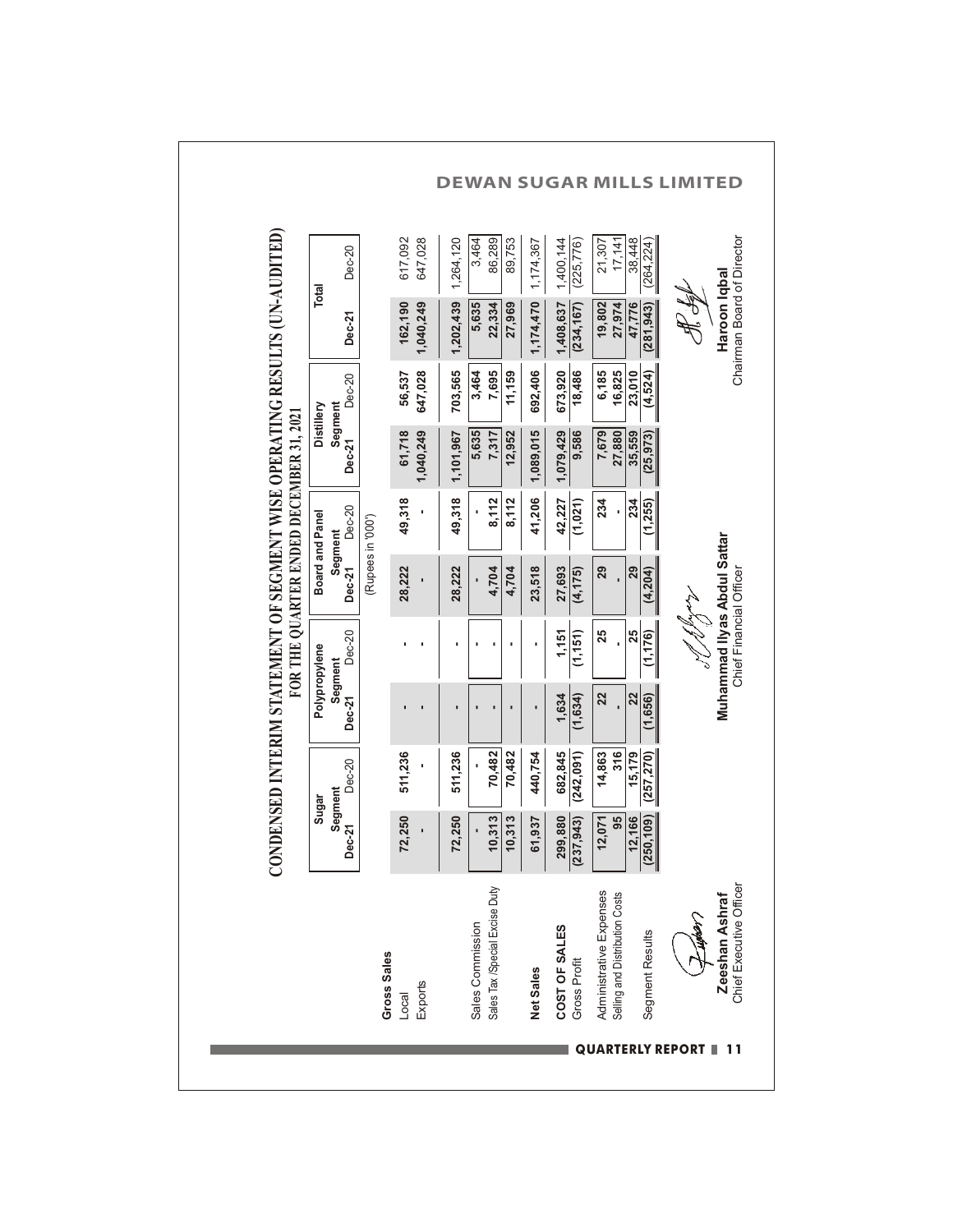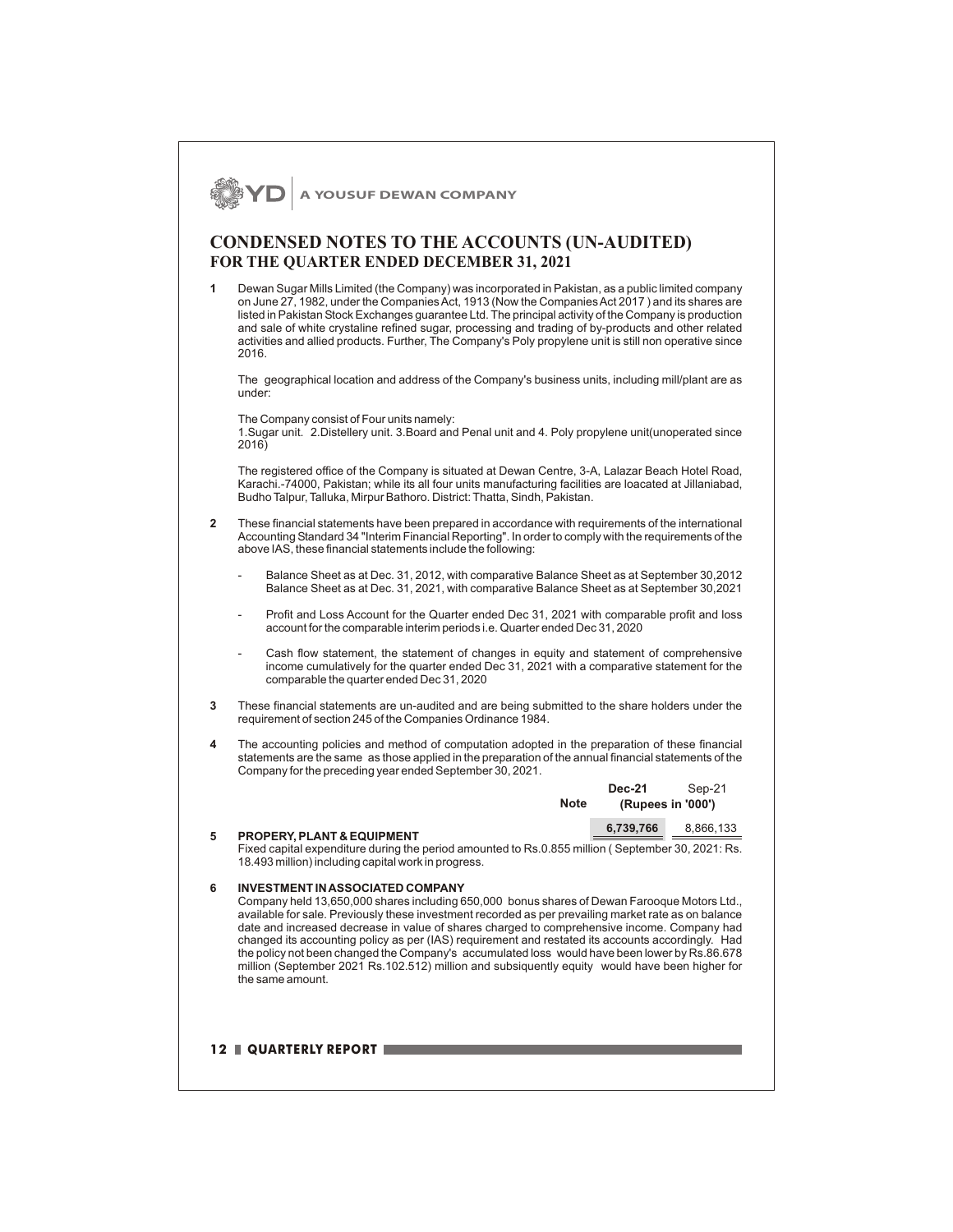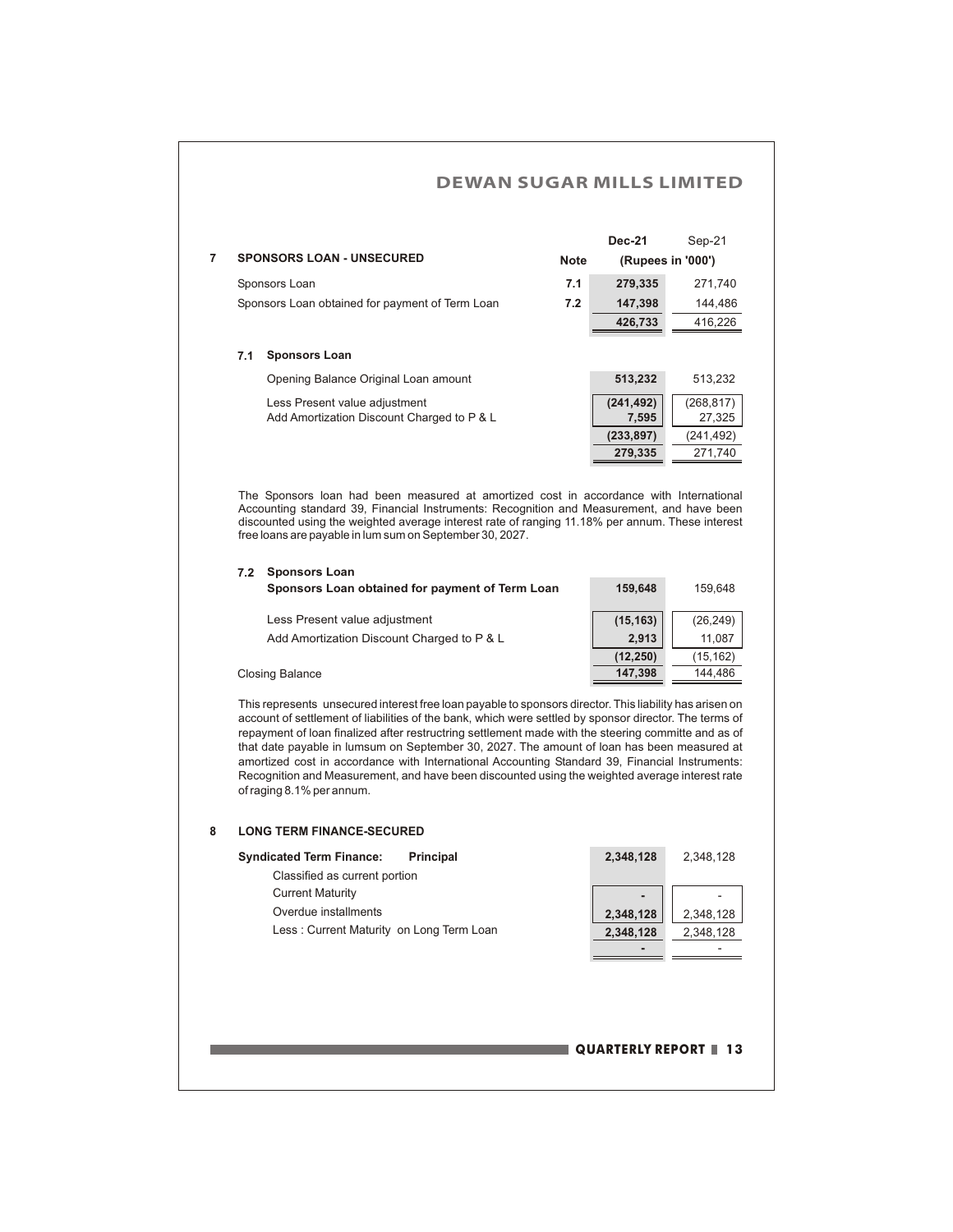|   |     |                                                                             |             | <b>Dec-21</b>                                | Sep-21                                        |
|---|-----|-----------------------------------------------------------------------------|-------------|----------------------------------------------|-----------------------------------------------|
| 7 |     | <b>SPONSORS LOAN - UNSECURED</b>                                            | <b>Note</b> | (Rupees in '000')                            |                                               |
|   |     | Sponsors Loan                                                               | 7.1         | 279.335                                      | 271.740                                       |
|   |     | Sponsors Loan obtained for payment of Term Loan                             | 7.2         | 147,398                                      | 144,486                                       |
|   |     |                                                                             |             | 426,733                                      | 416,226                                       |
|   | 7.1 | <b>Sponsors Loan</b>                                                        |             |                                              |                                               |
|   |     | Opening Balance Original Loan amount                                        |             | 513,232                                      | 513.232                                       |
|   |     | Less Present value adjustment<br>Add Amortization Discount Charged to P & L |             | (241, 492)<br>7,595<br>(233, 897)<br>279.335 | (268, 817)<br>27,325<br>(241, 492)<br>271,740 |

The Sponsors loan had been measured at amortized cost in accordance with International Accounting standard 39, Financial Instruments: Recognition and Measurement, and have been discounted using the weighted average interest rate of ranging 11.18% per annum. These interest free loans are payable in lum sum on September 30, 2027.

| 7.2 | <b>Sponsors Loan</b>                            |           |           |
|-----|-------------------------------------------------|-----------|-----------|
|     | Sponsors Loan obtained for payment of Term Loan | 159,648   | 159.648   |
|     | Less Present value adjustment                   | (15, 163) | (26, 249) |
|     | Add Amortization Discount Charged to P & L      | 2.913     | 11,087    |
|     |                                                 | (12, 250) | (15, 162) |
|     | Closing Balance                                 | 147,398   | 144,486   |

This represents unsecured interest free loan payable to sponsors director. This liability has arisen on account of settlement of liabilities of the bank, which were settled by sponsor director. The terms of repayment of loan finalized after restructring settlement made with the steering committe and as of that date payable in lumsum on September 30, 2027. The amount of loan has been measured at amortized cost in accordance with International Accounting Standard 39, Financial Instruments: Recognition and Measurement, and have been discounted using the weighted average interest rate of raging 8.1% per annum.

| 8 | <b>LONG TERM FINANCE-SECURED</b>                    |                              |           |
|---|-----------------------------------------------------|------------------------------|-----------|
|   | <b>Principal</b><br><b>Syndicated Term Finance:</b> | 2,348,128                    | 2,348,128 |
|   | Classified as current portion                       |                              |           |
|   | <b>Current Maturity</b>                             |                              |           |
|   | Overdue installments                                | 2,348,128                    | 2,348,128 |
|   | Less: Current Maturity on Long Term Loan            | 2,348,128                    | 2,348,128 |
|   |                                                     |                              |           |
|   |                                                     |                              |           |
|   |                                                     |                              |           |
|   |                                                     |                              |           |
|   |                                                     |                              |           |
|   |                                                     | <b>QUARTERLY REPORT # 13</b> |           |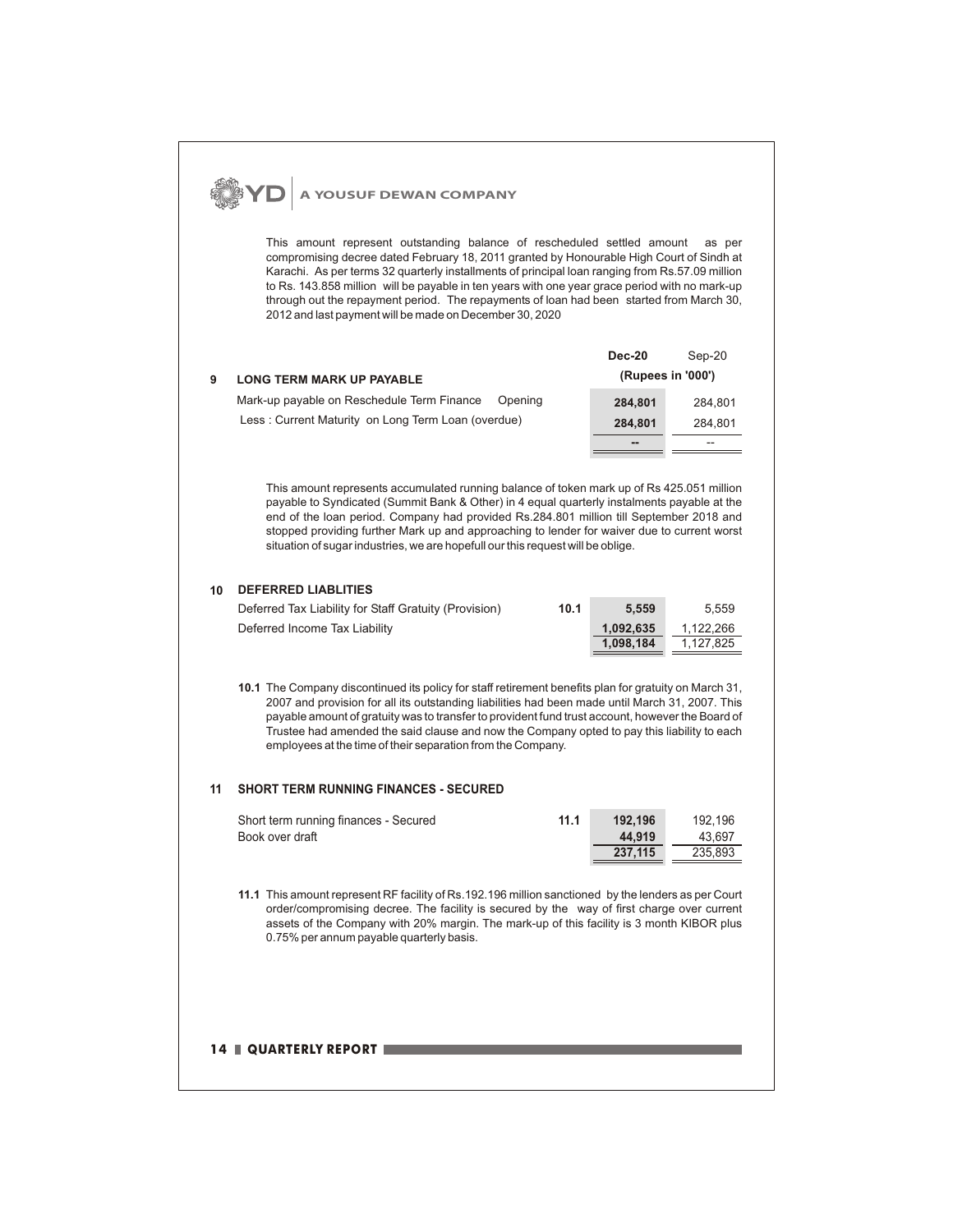## **A YOUSUF DEWAN COMPANY**

This amount represent outstanding balance of rescheduled settled amount as per compromising decree dated February 18, 2011 granted by Honourable High Court of Sindh at Karachi. As per terms 32 quarterly installments of principal loan ranging from Rs.57.09 million to Rs. 143.858 million will be payable in ten years with one year grace period with no mark-up through out the repayment period. The repayments of loan had been started from March 30, 2012 and last payment will be made on December 30, 2020

|   |                                                       | Dec-20  | Sep-20            |
|---|-------------------------------------------------------|---------|-------------------|
| 9 | <b>LONG TERM MARK UP PAYABLE</b>                      |         | (Rupees in '000') |
|   | Mark-up payable on Reschedule Term Finance<br>Openina | 284.801 | 284.801           |
|   | Less: Current Maturity on Long Term Loan (overdue)    | 284.801 | 284.801           |
|   |                                                       | --      | --                |

This amount represents accumulated running balance of token mark up of Rs 425.051 million payable to Syndicated (Summit Bank & Other) in 4 equal quarterly instalments payable at the end of the loan period. Company had provided Rs.284.801 million till September 2018 and stopped providing further Mark up and approaching to lender for waiver due to current worst situation of sugar industries, we are hopefull our this request will be oblige.

#### **10 DEFERRED LIABLITIES**

| Deferred Tax Liability for Staff Gratuity (Provision) | 10.1 | 5.559     | 5.559     |
|-------------------------------------------------------|------|-----------|-----------|
| Deferred Income Tax Liability                         |      | 1.092.635 | 1.122.266 |
|                                                       |      | 1.098.184 | 1.127.825 |

**10.1** The Company discontinued its policy for staff retirement benefits plan for gratuity on March 31, 2007 and provision for all its outstanding liabilities had been made until March 31, 2007. This payable amount of gratuity was to transfer to provident fund trust account, however the Board of Trustee had amended the said clause and now the Company opted to pay this liability to each employees at the time of their separation from the Company.

#### **11 SHORT TERM RUNNING FINANCES - SECURED**

| Short term running finances - Secured | 11.1 | 192.196 | 192.196 |
|---------------------------------------|------|---------|---------|
| Book over draft                       |      | 44.919  | 43.697  |
|                                       |      | 237.115 | 235,893 |

**11.1** This amount represent RF facility of Rs.192.196 million sanctioned by the lenders as per Court order/compromising decree. The facility is secured by the way of first charge over current assets of the Company with 20% margin. The mark-up of this facility is 3 month KIBOR plus 0.75% per annum payable quarterly basis.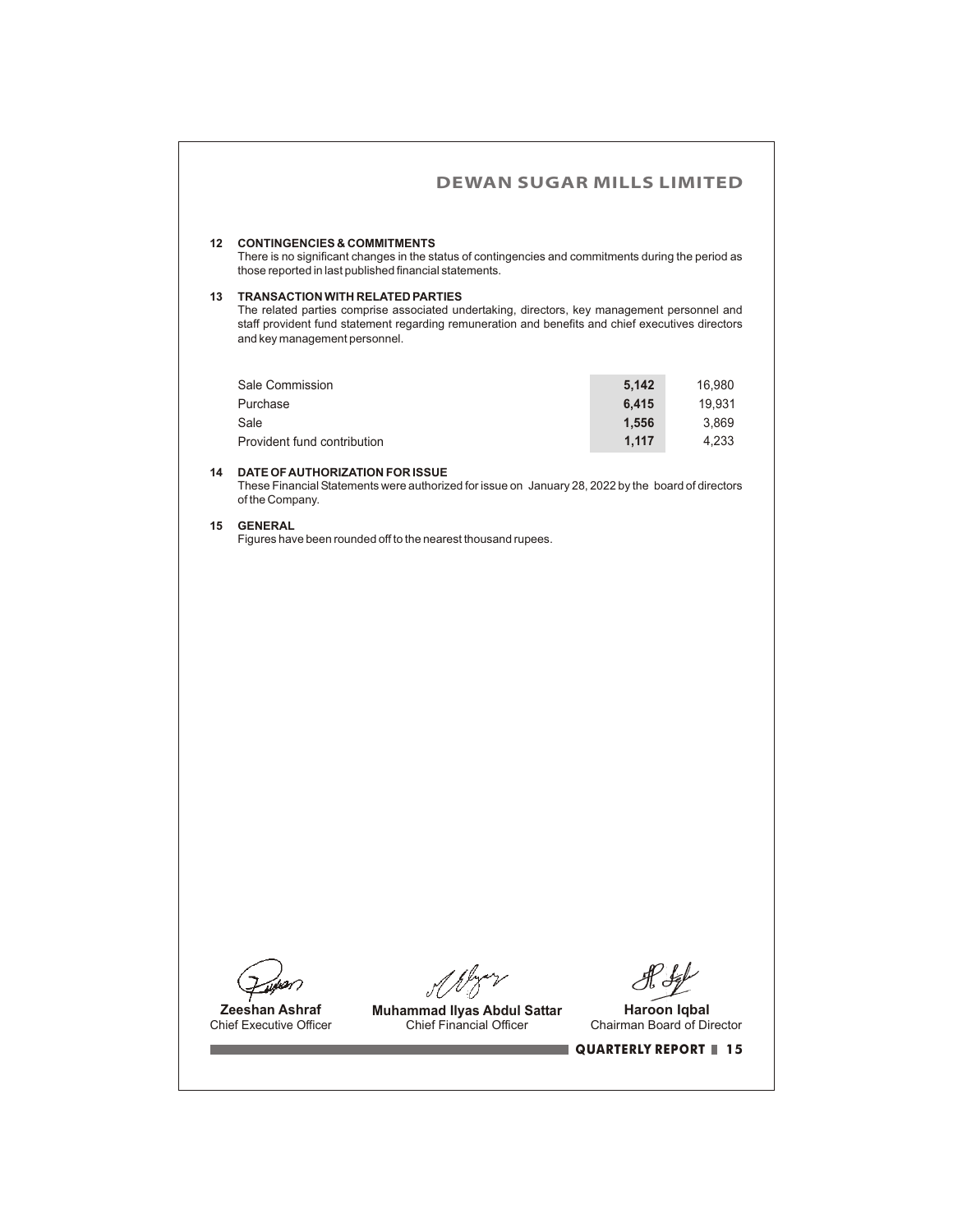#### **12 CONTINGENCIES & COMMITMENTS**

There is no significant changes in the status of contingencies and commitments during the period as those reported in last published financial statements.

#### **13 TRANSACTION WITH RELATED PARTIES**

The related parties comprise associated undertaking, directors, key management personnel and staff provident fund statement regarding remuneration and benefits and chief executives directors and key management personnel.

| Sale Commission             | 5.142 | 16,980 |
|-----------------------------|-------|--------|
| Purchase                    | 6.415 | 19.931 |
| Sale                        | 1.556 | 3.869  |
| Provident fund contribution | 1.117 | 4.233  |

### **14 DATE OF AUTHORIZATION FOR ISSUE**

These Financial Statements were authorized for issue on January 28, 2022 by the board of directors of the Company.

#### **15 GENERAL**

Figures have been rounded off to the nearest thousand rupees.

Albyer **Muhammad Ilyas Abdul Sattar**

**Haroon Iqbal** Chairman Board of Director

**COUARTERLY REPORT** 15

Chief Executive Officer Chief Financial Officer **Zeeshan Ashraf**